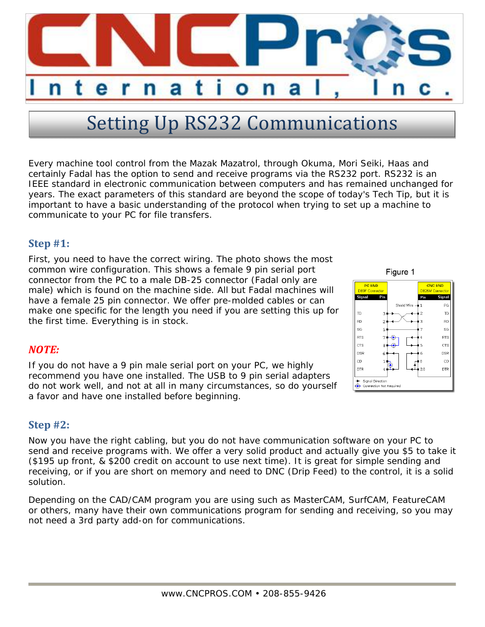

# **Setting Up RS232 Communications**

Every machine tool control from the Mazak Mazatrol, through Okuma, Mori Seiki, Haas and certainly Fadal has the option to send and receive programs via the RS232 port. RS232 is an IEEE standard in electronic communication between computers and has remained unchanged for years. The exact parameters of this standard are beyond the scope of today's Tech Tip, but it is important to have a basic understanding of the protocol when trying to set up a machine to communicate to your PC for file transfers.

## **Step #1:**

First, you need to have the correct wiring. The photo shows the most common wire configuration. This shows a female 9 pin serial port connector from the PC to a male DB-25 connector (Fadal only are male) which is found on the machine side. All but Fadal machines will have a female 25 pin connector. We offer pre-molded cables or can make one specific for the length you need if you are setting this up for the first time. Everything is in stock.

## *NOTE:*

If you do not have a 9 pin male serial port on your PC, we highly recommend you have one installed. The USB to 9 pin serial adapters do not work well, and not at all in many circumstances, so do yourself a favor and have one installed before beginning.

## **Step #2:**

Now you have the right cabling, but you do not have communication software on your PC to send and receive programs with. We offer a very solid product and actually give you \$5 to take it (\$195 up front, & \$200 credit on account to use next time). It is great for simple sending and receiving, or if you are short on memory and need to DNC (Drip Feed) to the control, it is a solid solution.

Depending on the CAD/CAM program you are using such as MasterCAM, SurfCAM, FeatureCAM or others, many have their own communications program for sending and receiving, so you may not need a 3rd party add-on for communications.

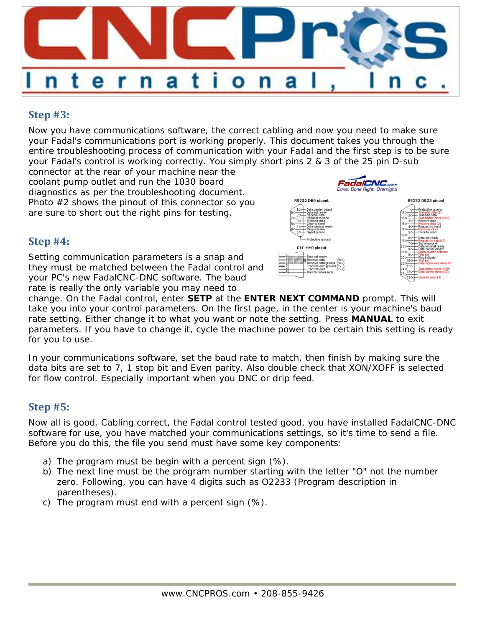

# **Step #3:**

Now you have communications software, the correct cabling and now you need to make sure your Fadal's communications port is working properly. This document takes you through the entire troubleshooting process of communication with your Fadal and the first step is to be sure your Fadal's control is working correctly. You simply short pins 2 & 3 of the 25 pin D-sub

connector at the rear of your machine near the coolant pump outlet and run the 1030 board diagnostics as per the troubleshooting document. Photo #2 shows the pinout of this connector so you are sure to short out the right pins for testing.

## **Step #4:**

Setting communication parameters is a snap and they must be matched between the Fadal control and your PC's new FadalCNC-DNC software. The baud rate is really the only variable you may need to



| RS232 DB25 pinout                                                                        |                                                                                                                                                                                                                                                                                |
|------------------------------------------------------------------------------------------|--------------------------------------------------------------------------------------------------------------------------------------------------------------------------------------------------------------------------------------------------------------------------------|
| 20<br>15 <sub>c</sub><br>3с<br>16 <sub>C</sub><br>40<br>17 C<br>50<br>18 <sub>C</sub>    | Protective around<br>ransmit data (2)<br>ransmit data<br>ansmitter clock (DCE)<br>eceive data<br>eceive data (2)<br>Request to send<br>eceiver clock<br>Clear to send                                                                                                          |
| ĥО<br>19 <sub>o</sub><br>70<br>200<br>8Ō<br>яc<br>22 C<br>100<br>23C<br>120<br>5с<br>130 | Data set ready<br>tequest to send (2)<br>Signal ground<br>Data terminal ready<br>Data carrier detect<br>al quality detector<br>pin<br>est<br>₹ina indicator<br>est pin<br>Data signal rate detector<br>Transmitter clock (DTE)<br>Data carrier detect (2)<br>Clear to send (2) |

change. On the Fadal control, enter **SETP** at the **ENTER NEXT COMMAND** prompt. This will take you into your control parameters. On the first page, in the center is your machine's baud rate setting. Either change it to what you want or note the setting. Press **MANUAL** to exit parameters. If you have to change it, cycle the machine power to be certain this setting is ready for you to use.

In your communications software, set the baud rate to match, then finish by making sure the data bits are set to 7, 1 stop bit and Even parity. Also double check that XON/XOFF is selected for flow control. Especially important when you DNC or drip feed.

## **Step #5:**

Now all is good. Cabling correct, the Fadal control tested good, you have installed FadalCNC-DNC software for use, you have matched your communications settings, so it's time to send a file. Before you do this, the file you send must have some key components:

- a) The program must be begin with a percent sign (%).
- b) The next line must be the program number starting with the letter "O" not the number zero. Following, you can have 4 digits such as O2233 (Program description in parentheses).
- c) The program must end with a percent sign (%).